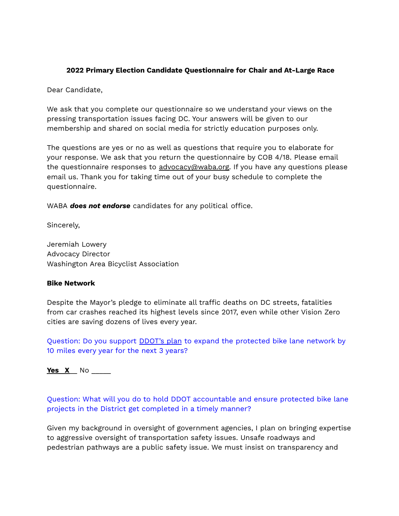### **2022 Primary Election Candidate Questionnaire for Chair and At-Large Race**

Dear Candidate,

We ask that you complete our questionnaire so we understand your views on the pressing transportation issues facing DC. Your answers will be given to our membership and shared on social media for strictly education purposes only.

The questions are yes or no as well as questions that require you to elaborate for your response. We ask that you return the questionnaire by COB 4/18. Please email the questionnaire responses to [advocacy@waba.org.](mailto:advocacy@waba.org) If you have any questions please email us. Thank you for taking time out of your busy schedule to complete the questionnaire.

WABA **does not endorse** candidates for any political office.

Sincerely,

Jeremiah Lowery Advocacy Director Washington Area Bicyclist Association

#### **Bike Network**

Despite the Mayor's pledge to eliminate all traffic deaths on DC streets, fatalities from car crashes reached its highest levels since 2017, even while other Vision Zero cities are saving dozens of lives every year.

Question: Do you support **DDOT's plan** to expand the protected bike lane network by 10 miles every year for the next 3 years?

**Yes** \_**X**\_\_ No \_\_\_\_\_

Question: What will you do to hold DDOT accountable and ensure protected bike lane projects in the District get completed in a timely manner?

Given my background in oversight of government agencies, I plan on bringing expertise to aggressive oversight of transportation safety issues. Unsafe roadways and pedestrian pathways are a public safety issue. We must insist on transparency and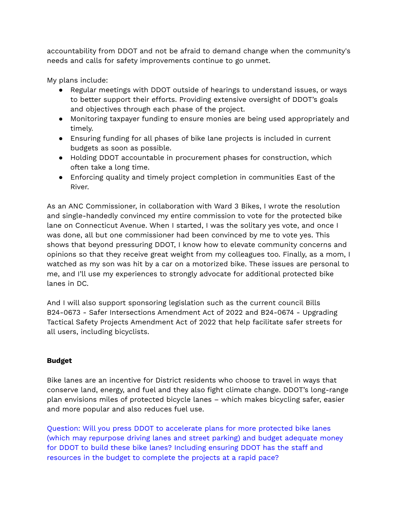accountability from DDOT and not be afraid to demand change when the community's needs and calls for safety improvements continue to go unmet.

My plans include:

- Regular meetings with DDOT outside of hearings to understand issues, or ways to better support their efforts. Providing extensive oversight of DDOT's goals and objectives through each phase of the project.
- Monitoring taxpayer funding to ensure monies are being used appropriately and timely.
- Ensuring funding for all phases of bike lane projects is included in current budgets as soon as possible.
- Holding DDOT accountable in procurement phases for construction, which often take a long time.
- Enforcing quality and timely project completion in communities East of the River.

As an ANC Commissioner, in collaboration with Ward 3 Bikes, I wrote the resolution and single-handedly convinced my entire commission to vote for the protected bike lane on Connecticut Avenue. When I started, I was the solitary yes vote, and once I was done, all but one commissioner had been convinced by me to vote yes. This shows that beyond pressuring DDOT, I know how to elevate community concerns and opinions so that they receive great weight from my colleagues too. Finally, as a mom, I watched as my son was hit by a car on a motorized bike. These issues are personal to me, and I'll use my experiences to strongly advocate for additional protected bike lanes in DC.

And I will also support sponsoring legislation such as the current council Bills B24-0673 - Safer Intersections Amendment Act of 2022 and B24-0674 - Upgrading Tactical Safety Projects Amendment Act of 2022 that help facilitate safer streets for all users, including bicyclists.

## **Budget**

Bike lanes are an incentive for District residents who choose to travel in ways that conserve land, energy, and fuel and they also fight climate change. DDOT's long-range plan envisions miles of protected bicycle lanes – which makes bicycling safer, easier and more popular and also reduces fuel use.

Question: Will you press DDOT to accelerate plans for more protected bike lanes (which may repurpose driving lanes and street parking) and budget adequate money for DDOT to build these bike lanes? Including ensuring DDOT has the staff and resources in the budget to complete the projects at a rapid pace?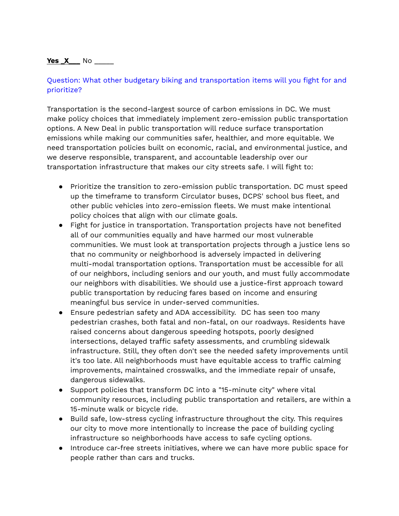### **Yes X** No \_\_\_\_\_

# Question: What other budgetary biking and transportation items will you fight for and prioritize?

Transportation is the second-largest source of carbon emissions in DC. We must make policy choices that immediately implement zero-emission public transportation options. A New Deal in public transportation will reduce surface transportation emissions while making our communities safer, healthier, and more equitable. We need transportation policies built on economic, racial, and environmental justice, and we deserve responsible, transparent, and accountable leadership over our transportation infrastructure that makes our city streets safe. I will fight to:

- Prioritize the transition to zero-emission public transportation. DC must speed up the timeframe to transform Circulator buses, DCPS' school bus fleet, and other public vehicles into zero-emission fleets. We must make intentional policy choices that align with our climate goals.
- Fight for justice in transportation. Transportation projects have not benefited all of our communities equally and have harmed our most vulnerable communities. We must look at transportation projects through a justice lens so that no community or neighborhood is adversely impacted in delivering multi-modal transportation options. Transportation must be accessible for all of our neighbors, including seniors and our youth, and must fully accommodate our neighbors with disabilities. We should use a justice-first approach toward public transportation by reducing fares based on income and ensuring meaningful bus service in under-served communities.
- Ensure pedestrian safety and ADA accessibility. DC has seen too many pedestrian crashes, both fatal and non-fatal, on our roadways. Residents have raised concerns about dangerous speeding hotspots, poorly designed intersections, delayed traffic safety assessments, and crumbling sidewalk infrastructure. Still, they often don't see the needed safety improvements until it's too late. All neighborhoods must have equitable access to traffic calming improvements, maintained crosswalks, and the immediate repair of unsafe, dangerous sidewalks.
- Support policies that transform DC into a "15-minute city" where vital community resources, including public transportation and retailers, are within a 15-minute walk or bicycle ride.
- Build safe, low-stress cycling infrastructure throughout the city. This requires our city to move more intentionally to increase the pace of building cycling infrastructure so neighborhoods have access to safe cycling options.
- Introduce car-free streets initiatives, where we can have more public space for people rather than cars and trucks.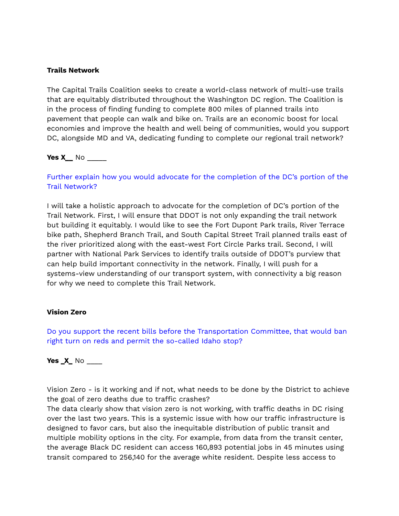#### **Trails Network**

The Capital Trails Coalition seeks to create a world-class network of multi-use trails that are equitably distributed throughout the Washington DC region. The Coalition is in the process of finding funding to complete 800 miles of planned trails into pavement that people can walk and bike on. Trails are an economic boost for local economies and improve the health and well being of communities, would you support DC, alongside MD and VA, dedicating funding to complete our regional trail network?

### **Yes X\_\_** No \_\_\_\_\_

# Further explain how you would advocate for the completion of the DC's portion of the Trail Network?

I will take a holistic approach to advocate for the completion of DC's portion of the Trail Network. First, I will ensure that DDOT is not only expanding the trail network but building it equitably. I would like to see the Fort Dupont Park trails, River Terrace bike path, Shepherd Branch Trail, and South Capital Street Trail planned trails east of the river prioritized along with the east-west Fort Circle Parks trail. Second, I will partner with National Park Services to identify trails outside of DDOT's purview that can help build important connectivity in the network. Finally, I will push for a systems-view understanding of our transport system, with connectivity a big reason for why we need to complete this Trail Network.

### **Vision Zero**

Do you support the recent bills before the Transportation Committee, that would ban right turn on reds and permit the so-called Idaho stop?

### **Yes \_X\_** No \_\_\_\_

Vision Zero - is it working and if not, what needs to be done by the District to achieve the goal of zero deaths due to traffic crashes?

The data clearly show that vision zero is not working, with traffic deaths in DC rising over the last two years. This is a systemic issue with how our traffic infrastructure is designed to favor cars, but also the inequitable distribution of public transit and multiple mobility options in the city. For example, from data from the transit center, the average Black DC resident can access 160,893 potential jobs in 45 minutes using transit compared to 256,140 for the average white resident. Despite less access to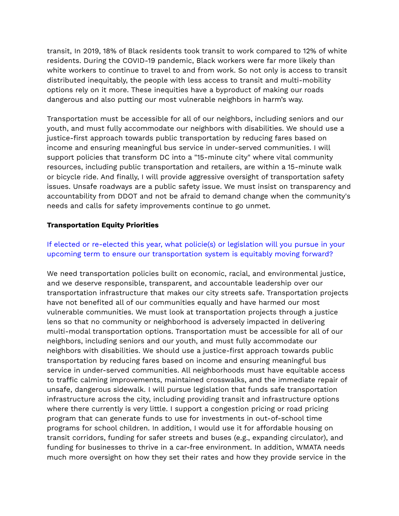transit, In 2019, 18% of Black residents took transit to work compared to 12% of white residents. During the COVID-19 pandemic, Black workers were far more likely than white workers to continue to travel to and from work. So not only is access to transit distributed inequitably, the people with less access to transit and multi-mobility options rely on it more. These inequities have a byproduct of making our roads dangerous and also putting our most vulnerable neighbors in harm's way.

Transportation must be accessible for all of our neighbors, including seniors and our youth, and must fully accommodate our neighbors with disabilities. We should use a justice-first approach towards public transportation by reducing fares based on income and ensuring meaningful bus service in under-served communities. I will support policies that transform DC into a "15-minute city" where vital community resources, including public transportation and retailers, are within a 15-minute walk or bicycle ride. And finally, I will provide aggressive oversight of transportation safety issues. Unsafe roadways are a public safety issue. We must insist on transparency and accountability from DDOT and not be afraid to demand change when the community's needs and calls for safety improvements continue to go unmet.

### **Transportation Equity Priorities**

## If elected or re-elected this year, what policie(s) or legislation will you pursue in your upcoming term to ensure our transportation system is equitably moving forward?

We need transportation policies built on economic, racial, and environmental justice, and we deserve responsible, transparent, and accountable leadership over our transportation infrastructure that makes our city streets safe. Transportation projects have not benefited all of our communities equally and have harmed our most vulnerable communities. We must look at transportation projects through a justice lens so that no community or neighborhood is adversely impacted in delivering multi-modal transportation options. Transportation must be accessible for all of our neighbors, including seniors and our youth, and must fully accommodate our neighbors with disabilities. We should use a justice-first approach towards public transportation by reducing fares based on income and ensuring meaningful bus service in under-served communities. All neighborhoods must have equitable access to traffic calming improvements, maintained crosswalks, and the immediate repair of unsafe, dangerous sidewalk. I will pursue legislation that funds safe transportation infrastructure across the city, including providing transit and infrastructure options where there currently is very little. I support a congestion pricing or road pricing program that can generate funds to use for investments in out-of-school time programs for school children. In addition, I would use it for affordable housing on transit corridors, funding for safer streets and buses (e.g., expanding circulator), and funding for businesses to thrive in a car-free environment. In addition, WMATA needs much more oversight on how they set their rates and how they provide service in the